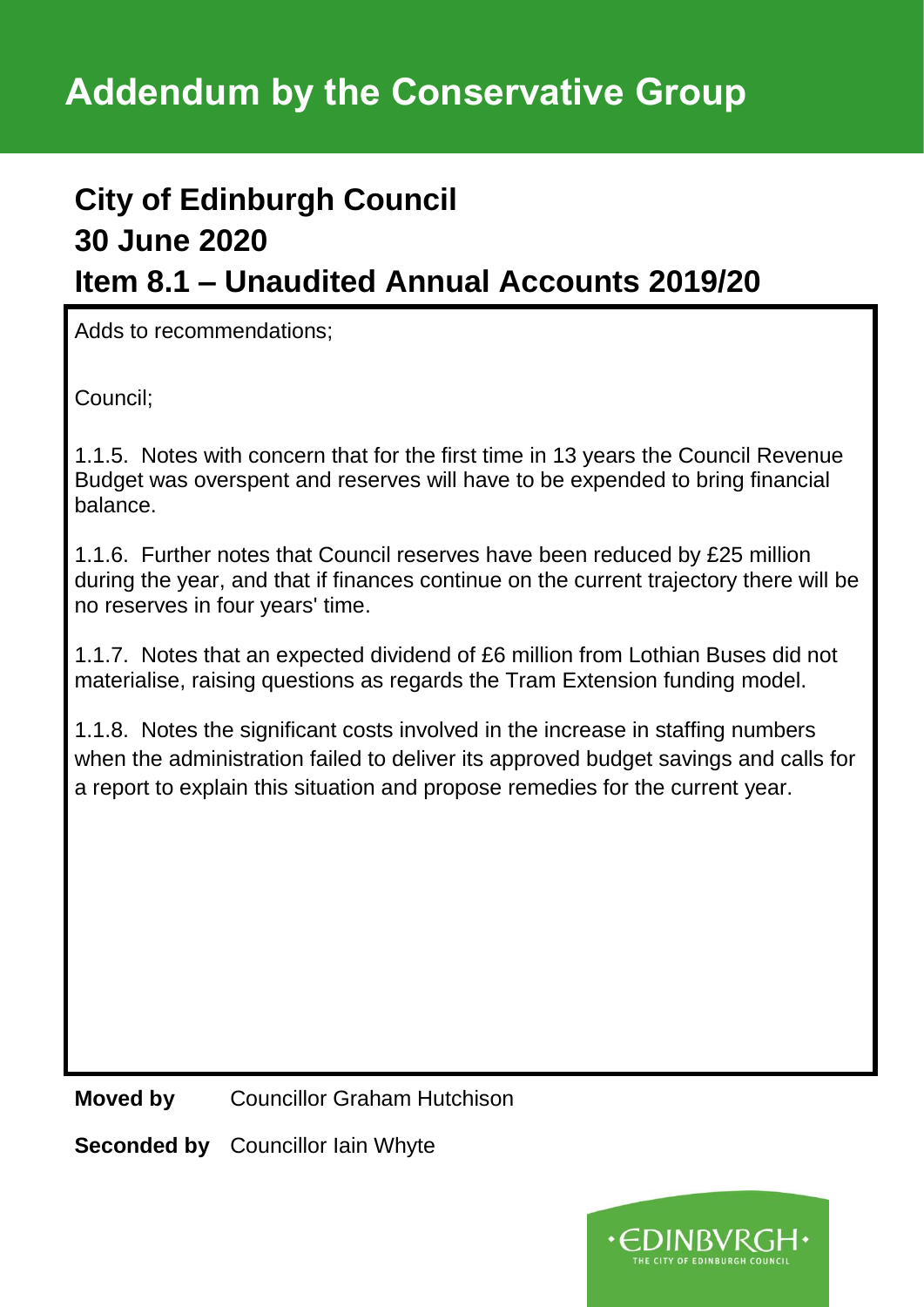# **City of Edinburgh Council 30 June 2020 Item 8.1 – Unaudited Annual Accounts 2019/20**

Adds to recommendations;

Council;

1.1.5. Notes with concern that for the first time in 13 years the Council Revenue Budget was overspent and reserves will have to be expended to bring financial balance.

1.1.6. Further notes that Council reserves have been reduced by £25 million during the year, and that if finances continue on the current trajectory there will be no reserves in four years' time.

1.1.7. Notes that an expected dividend of £6 million from Lothian Buses did not materialise, raising questions as regards the Tram Extension funding model.

1.1.8. Notes the significant costs involved in the increase in staffing numbers when the administration failed to deliver its approved budget savings and calls for a report to explain this situation and propose remedies for the current year.

**Moved by** Councillor Graham Hutchison

**Seconded by** Councillor Iain Whyte

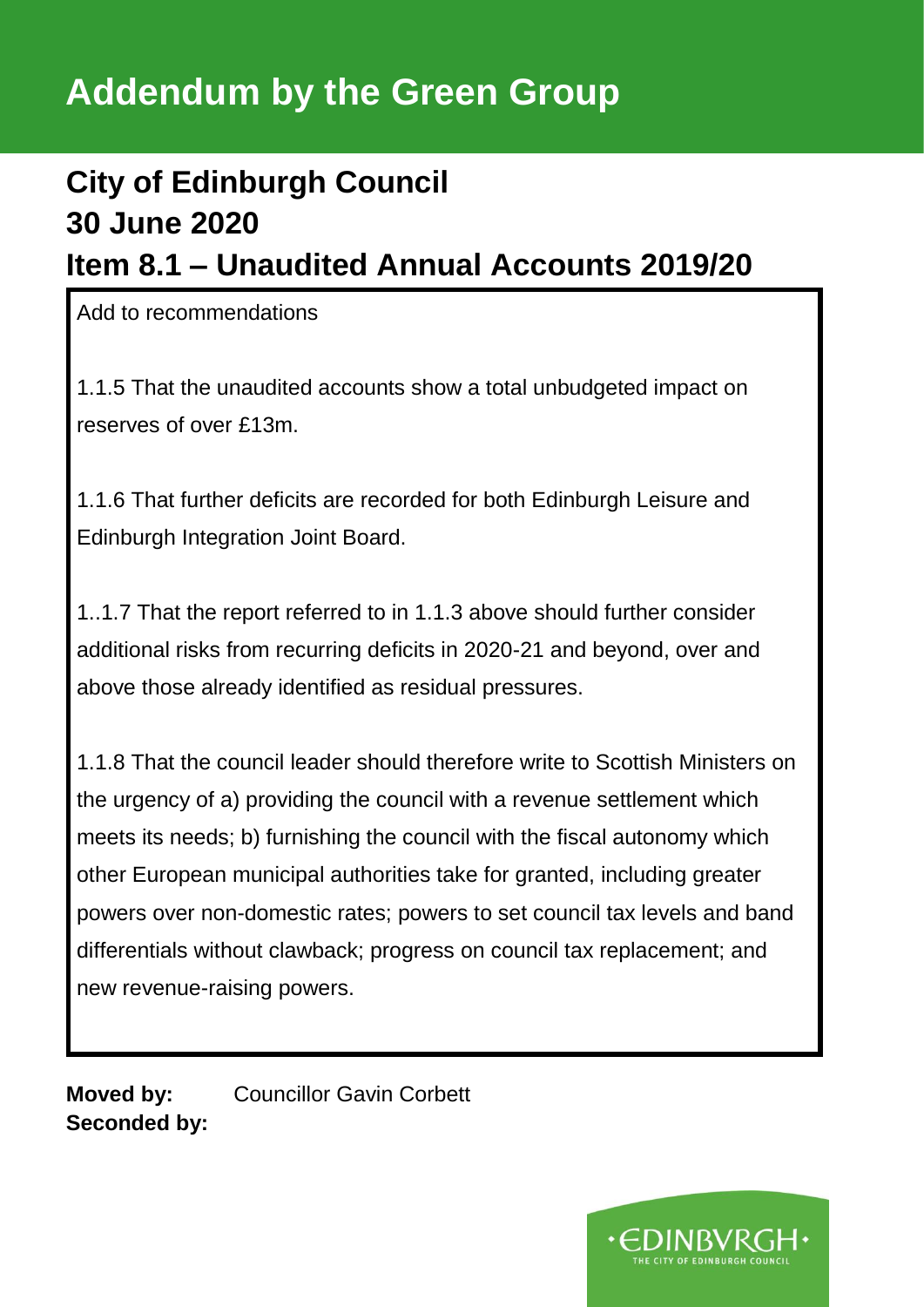# **Addendum by the Green Group**

# **City of Edinburgh Council 30 June 2020 Item 8.1 – Unaudited Annual Accounts 2019/20**

Add to recommendations

1.1.5 That the unaudited accounts show a total unbudgeted impact on reserves of over £13m.

1.1.6 That further deficits are recorded for both Edinburgh Leisure and Edinburgh Integration Joint Board.

1..1.7 That the report referred to in 1.1.3 above should further consider additional risks from recurring deficits in 2020-21 and beyond, over and above those already identified as residual pressures.

1.1.8 That the council leader should therefore write to Scottish Ministers on the urgency of a) providing the council with a revenue settlement which meets its needs; b) furnishing the council with the fiscal autonomy which other European municipal authorities take for granted, including greater powers over non-domestic rates; powers to set council tax levels and band differentials without clawback; progress on council tax replacement; and new revenue-raising powers.

**Moved by:** Councillor Gavin Corbett **Seconded by:**

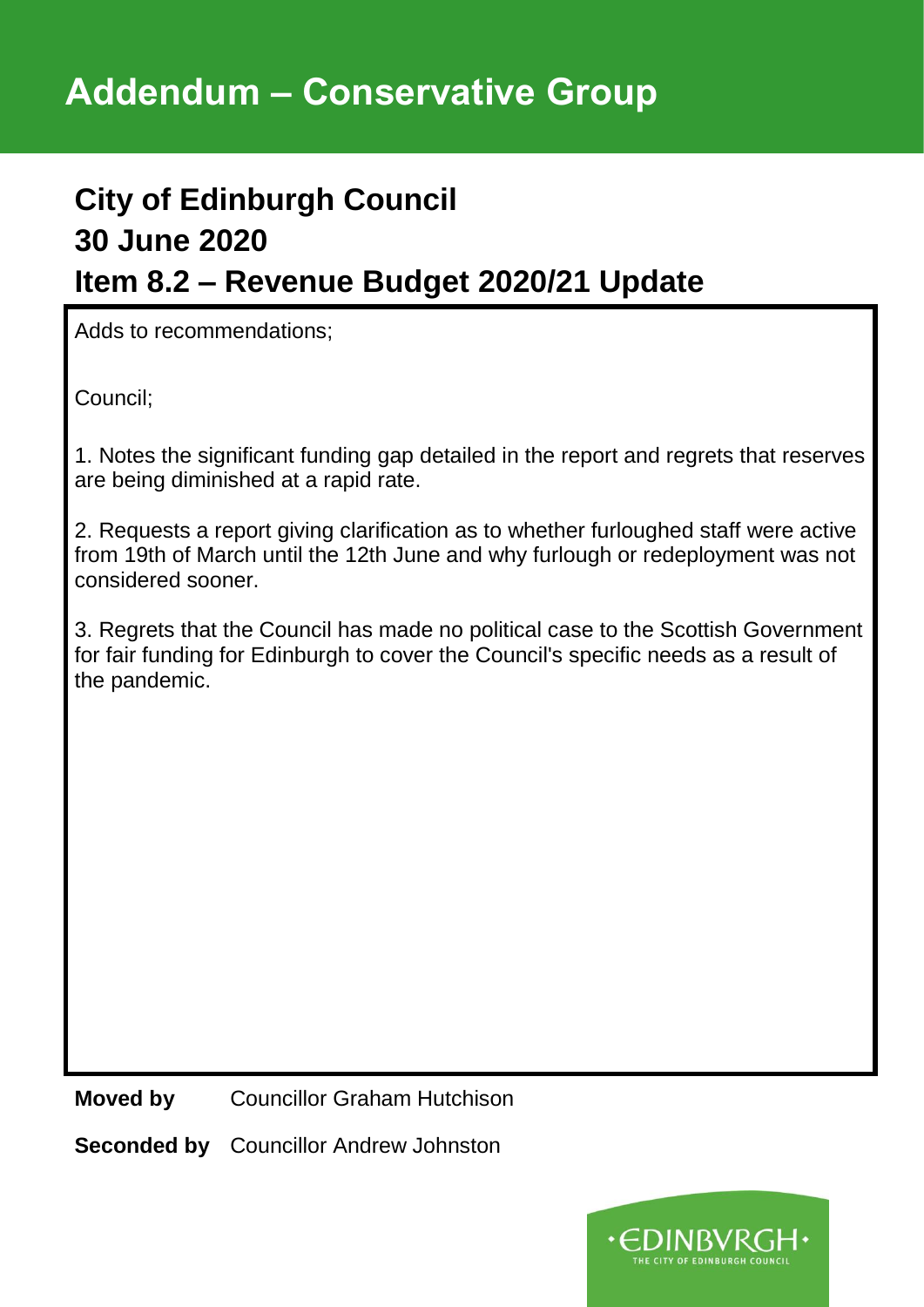### **City of Edinburgh Council 30 June 2020 Item 8.2 – Revenue Budget 2020/21 Update**

Adds to recommendations;

Council;

1. Notes the significant funding gap detailed in the report and regrets that reserves are being diminished at a rapid rate.

2. Requests a report giving clarification as to whether furloughed staff were active from 19th of March until the 12th June and why furlough or redeployment was not considered sooner.

3. Regrets that the Council has made no political case to the Scottish Government for fair funding for Edinburgh to cover the Council's specific needs as a result of the pandemic.

**Moved by** Councillor Graham Hutchison

**Seconded by** Councillor Andrew Johnston

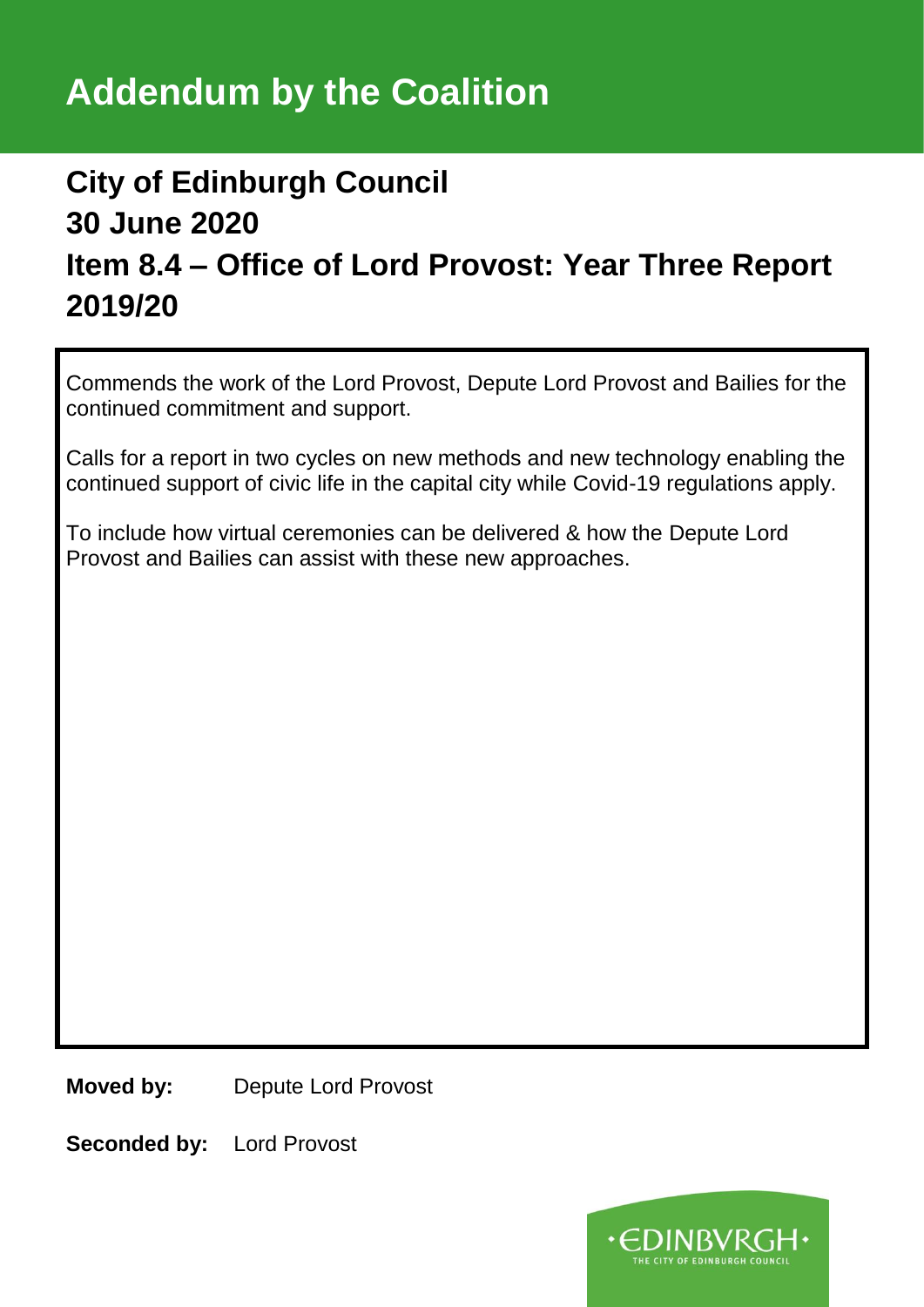## **City of Edinburgh Council 30 June 2020 Item 8.4 – Office of Lord Provost: Year Three Report 2019/20**

Commends the work of the Lord Provost, Depute Lord Provost and Bailies for the continued commitment and support.

Calls for a report in two cycles on new methods and new technology enabling the continued support of civic life in the capital city while Covid-19 regulations apply.

To include how virtual ceremonies can be delivered & how the Depute Lord Provost and Bailies can assist with these new approaches.

**Moved by:** Depute Lord Provost

**Seconded by:** Lord Provost

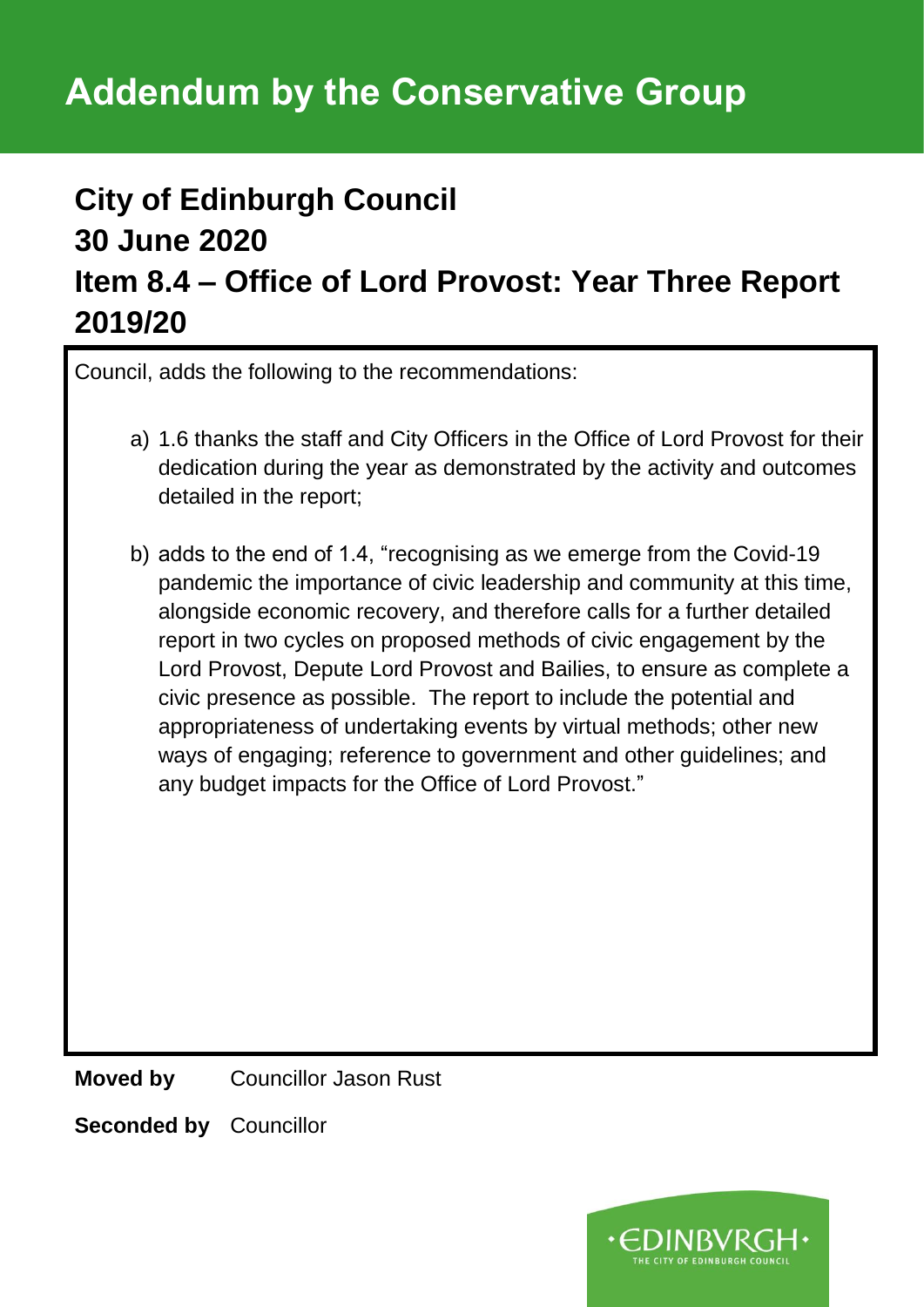### **City of Edinburgh Council 30 June 2020 Item 8.4 – Office of Lord Provost: Year Three Report 2019/20**

Council, adds the following to the recommendations:

- a) 1.6 thanks the staff and City Officers in the Office of Lord Provost for their dedication during the year as demonstrated by the activity and outcomes detailed in the report;
- b) adds to the end of 1.4, "recognising as we emerge from the Covid-19 pandemic the importance of civic leadership and community at this time, alongside economic recovery, and therefore calls for a further detailed report in two cycles on proposed methods of civic engagement by the Lord Provost, Depute Lord Provost and Bailies, to ensure as complete a civic presence as possible. The report to include the potential and appropriateness of undertaking events by virtual methods; other new ways of engaging; reference to government and other guidelines; and any budget impacts for the Office of Lord Provost."

**Moved by** Councillor Jason Rust

**Seconded by** Councillor

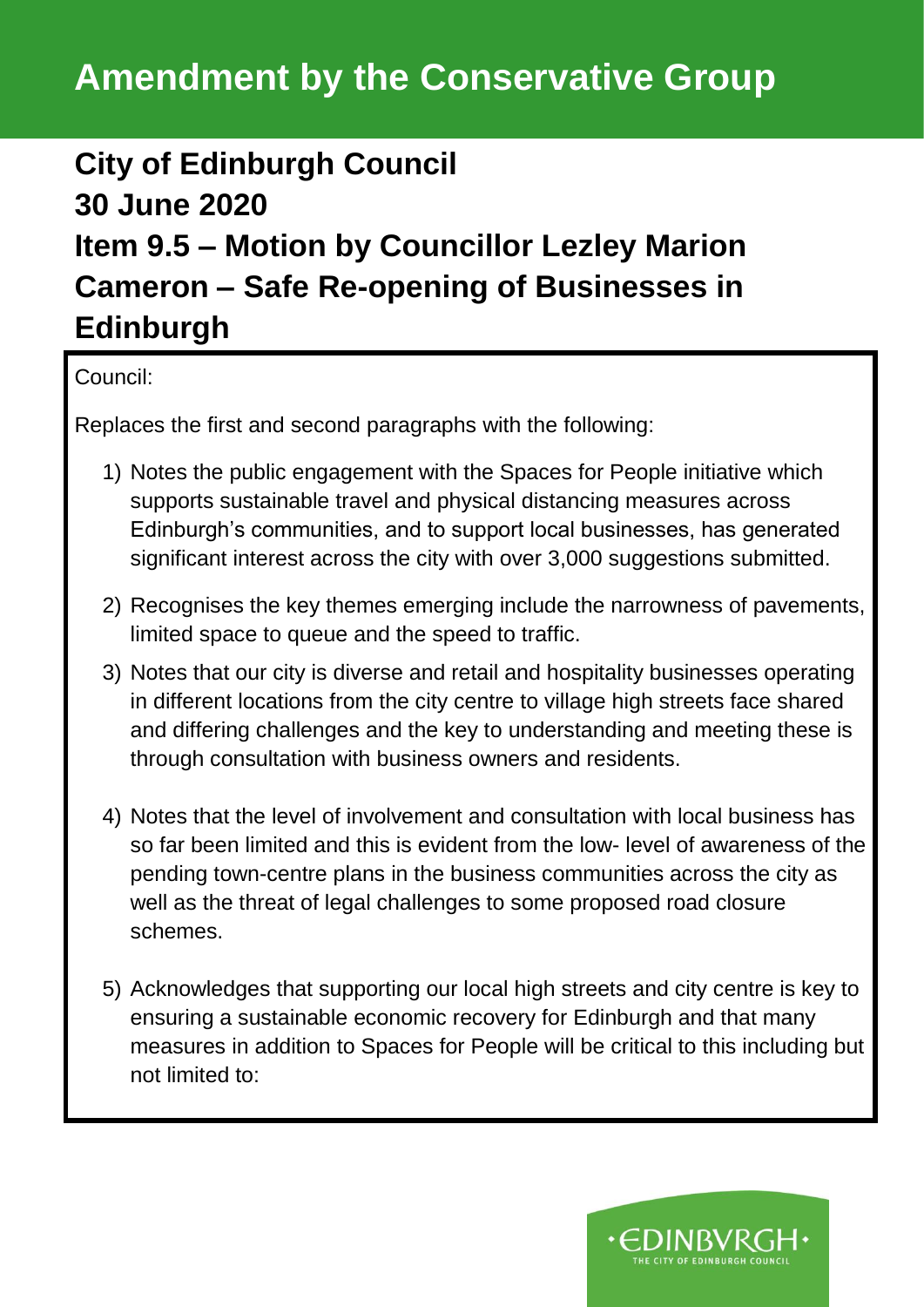# **Amendment by the Conservative Group**

### **City of Edinburgh Council 30 June 2020 Item 9.5 – Motion by Councillor Lezley Marion Cameron – Safe Re-opening of Businesses in Edinburgh**

Council:

Replaces the first and second paragraphs with the following:

- 1) Notes the public engagement with the Spaces for People initiative which supports sustainable travel and physical distancing measures across Edinburgh's communities, and to support local businesses, has generated significant interest across the city with over 3,000 suggestions submitted.
- 2) Recognises the key themes emerging include the narrowness of pavements, limited space to queue and the speed to traffic.
- 3) Notes that our city is diverse and retail and hospitality businesses operating in different locations from the city centre to village high streets face shared and differing challenges and the key to understanding and meeting these is through consultation with business owners and residents.
- 4) Notes that the level of involvement and consultation with local business has so far been limited and this is evident from the low- level of awareness of the pending town-centre plans in the business communities across the city as well as the threat of legal challenges to some proposed road closure schemes.
- 5) Acknowledges that supporting our local high streets and city centre is key to ensuring a sustainable economic recovery for Edinburgh and that many measures in addition to Spaces for People will be critical to this including but not limited to:

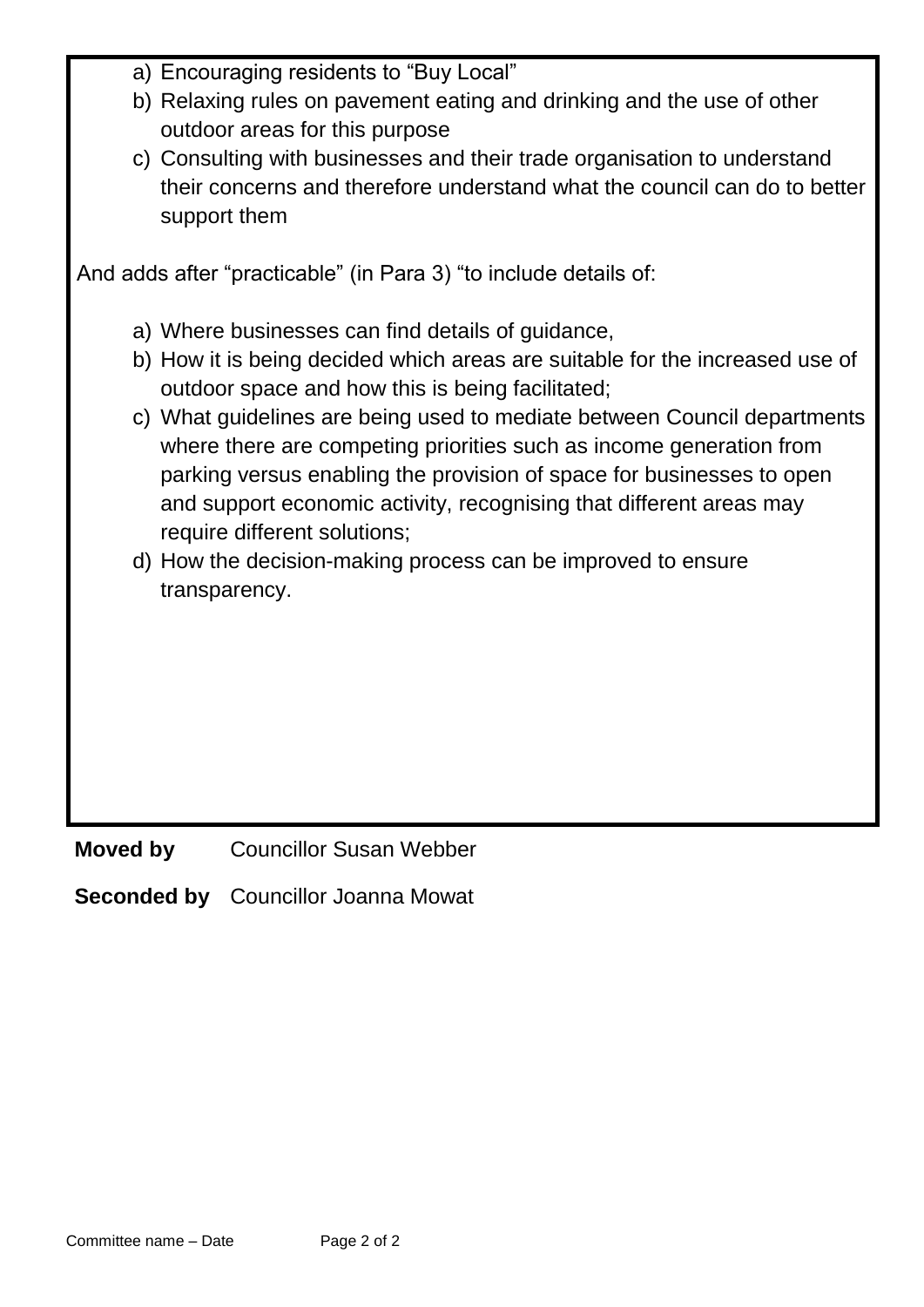|  | a) Encouraging residents to "Buy Local" |  |  |  |
|--|-----------------------------------------|--|--|--|
|--|-----------------------------------------|--|--|--|

- b) Relaxing rules on pavement eating and drinking and the use of other outdoor areas for this purpose
- c) Consulting with businesses and their trade organisation to understand their concerns and therefore understand what the council can do to better support them

And adds after "practicable" (in Para 3) "to include details of:

a) Where businesses can find details of guidance,

- b) How it is being decided which areas are suitable for the increased use of outdoor space and how this is being facilitated;
- c) What guidelines are being used to mediate between Council departments where there are competing priorities such as income generation from parking versus enabling the provision of space for businesses to open and support economic activity, recognising that different areas may require different solutions;
- d) How the decision-making process can be improved to ensure transparency.

**Moved by** Councillor Susan Webber

**Seconded by** Councillor Joanna Mowat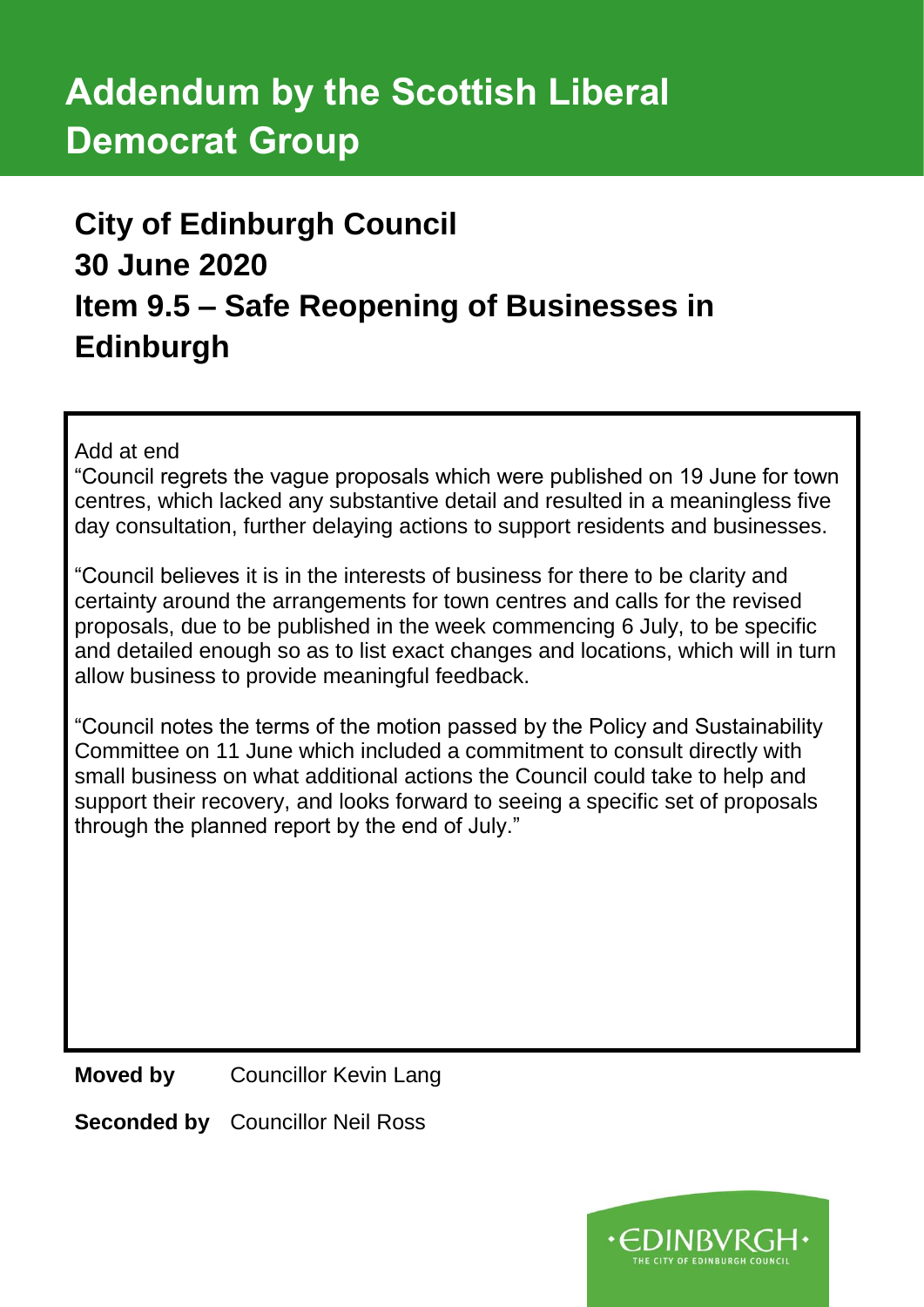# **Addendum by the Scottish Liberal Democrat Group**

# **City of Edinburgh Council 30 June 2020 Item 9.5 – Safe Reopening of Businesses in Edinburgh**

Add at end

"Council regrets the vague proposals which were published on 19 June for town centres, which lacked any substantive detail and resulted in a meaningless five day consultation, further delaying actions to support residents and businesses.

"Council believes it is in the interests of business for there to be clarity and certainty around the arrangements for town centres and calls for the revised proposals, due to be published in the week commencing 6 July, to be specific and detailed enough so as to list exact changes and locations, which will in turn allow business to provide meaningful feedback.

"Council notes the terms of the motion passed by the Policy and Sustainability Committee on 11 June which included a commitment to consult directly with small business on what additional actions the Council could take to help and support their recovery, and looks forward to seeing a specific set of proposals through the planned report by the end of July."

**Moved by** Councillor Kevin Lang

**Seconded by** Councillor Neil Ross

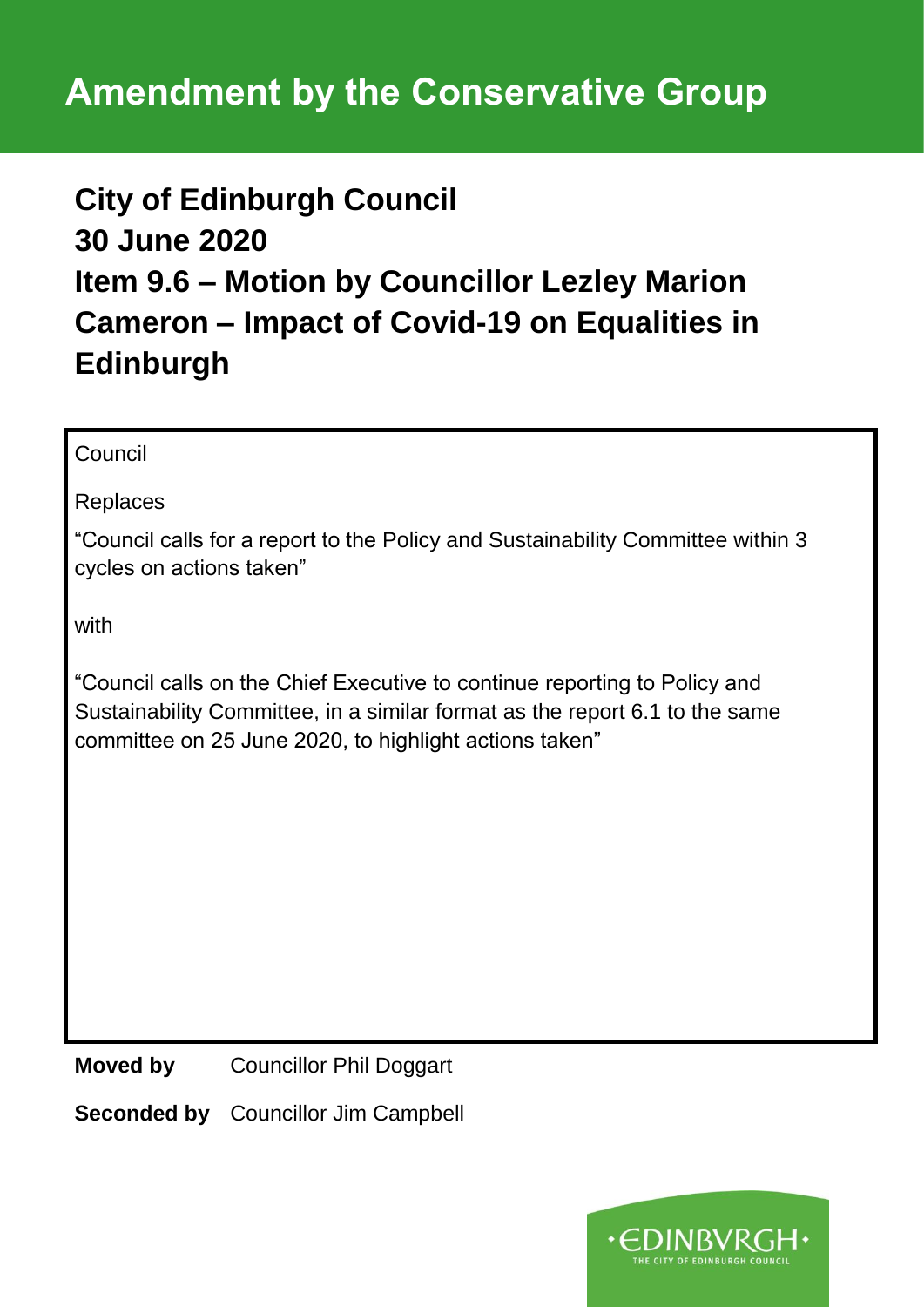### **City of Edinburgh Council 30 June 2020 Item 9.6 – Motion by Councillor Lezley Marion Cameron – Impact of Covid-19 on Equalities in Edinburgh**

Council

Replaces

"Council calls for a report to the Policy and Sustainability Committee within 3 cycles on actions taken"

with

"Council calls on the Chief Executive to continue reporting to Policy and Sustainability Committee, in a similar format as the report 6.1 to the same committee on 25 June 2020, to highlight actions taken"

**Moved by** Councillor Phil Doggart

**Seconded by** Councillor Jim Campbell

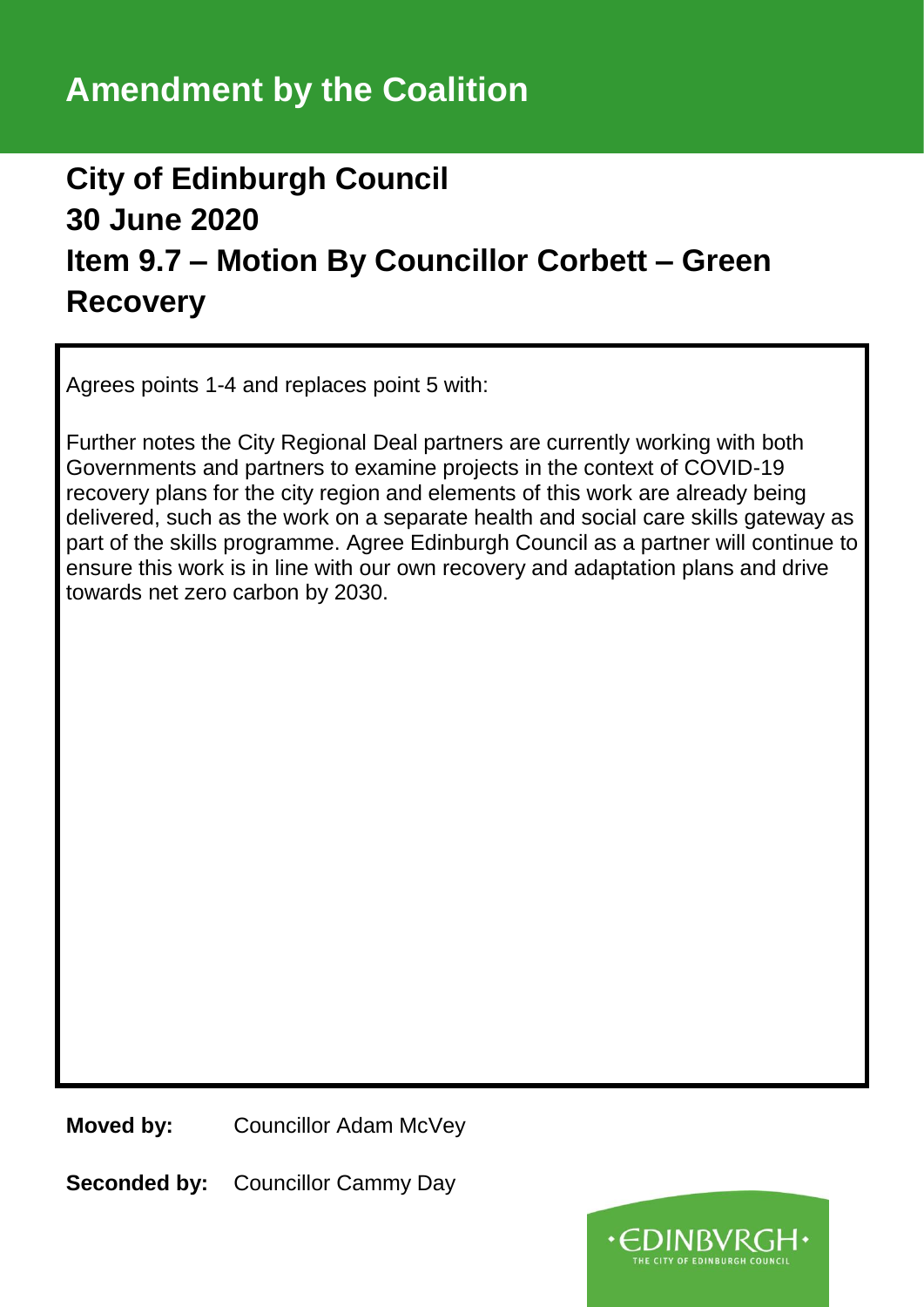### **City of Edinburgh Council 30 June 2020 Item 9.7 – Motion By Councillor Corbett – Green Recovery**

Agrees points 1-4 and replaces point 5 with:

Further notes the City Regional Deal partners are currently working with both Governments and partners to examine projects in the context of COVID-19 recovery plans for the city region and elements of this work are already being delivered, such as the work on a separate health and social care skills gateway as part of the skills programme. Agree Edinburgh Council as a partner will continue to ensure this work is in line with our own recovery and adaptation plans and drive towards net zero carbon by 2030.

**Moved by:** Councillor Adam McVey

**Seconded by:** Councillor Cammy Day

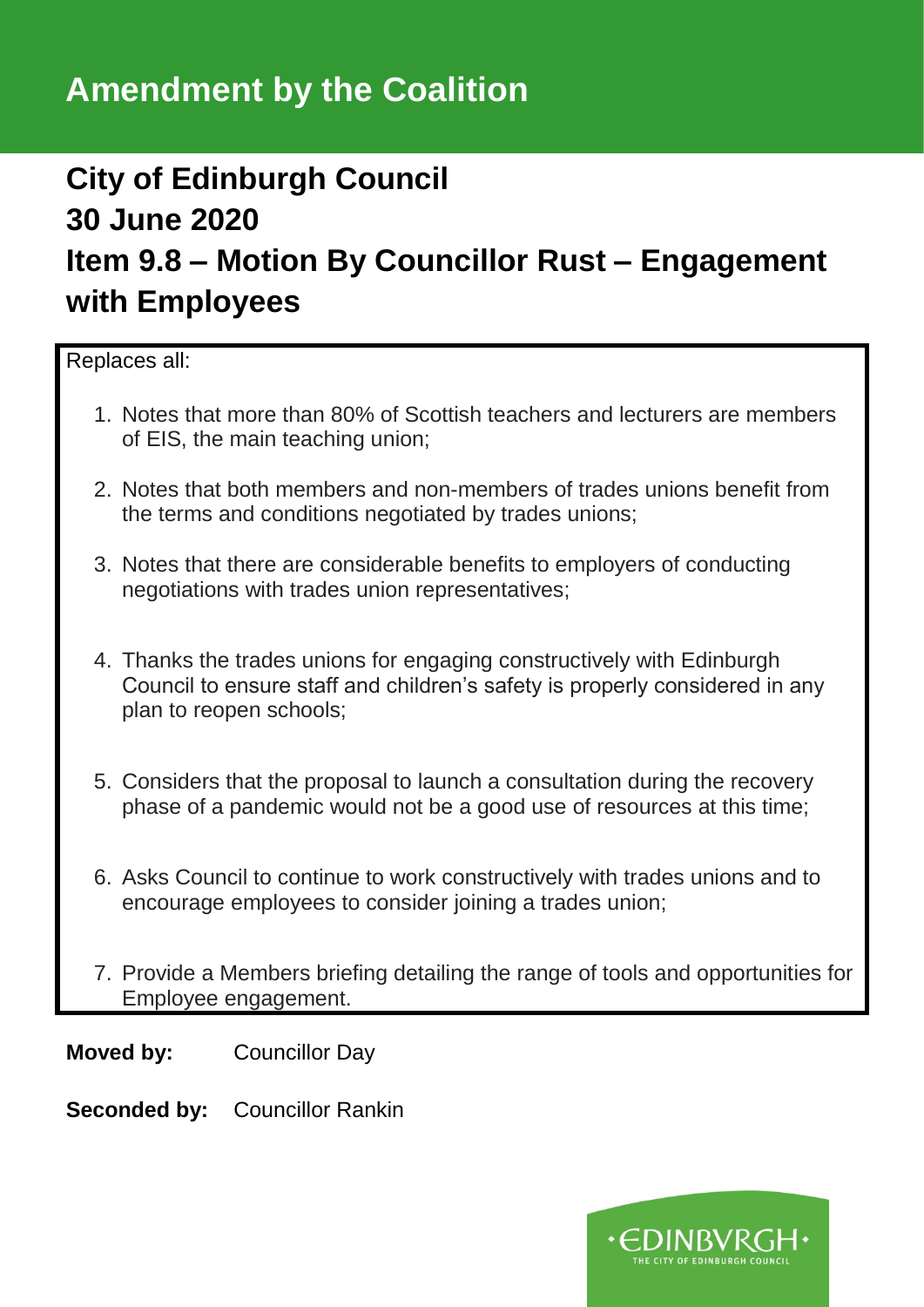### **City of Edinburgh Council 30 June 2020 Item 9.8 – Motion By Councillor Rust – Engagement with Employees**

Replaces all:

- 1. Notes that more than 80% of Scottish teachers and lecturers are members of EIS, the main teaching union;
- 2. Notes that both members and non-members of trades unions benefit from the terms and conditions negotiated by trades unions;
- 3. Notes that there are considerable benefits to employers of conducting negotiations with trades union representatives;
- 4. Thanks the trades unions for engaging constructively with Edinburgh Council to ensure staff and children's safety is properly considered in any plan to reopen schools;
- 5. Considers that the proposal to launch a consultation during the recovery phase of a pandemic would not be a good use of resources at this time;
- 6. Asks Council to continue to work constructively with trades unions and to encourage employees to consider joining a trades union;
- 7. Provide a Members briefing detailing the range of tools and opportunities for Employee engagement.

**Moved by:** Councillor Day

**Seconded by:** Councillor Rankin

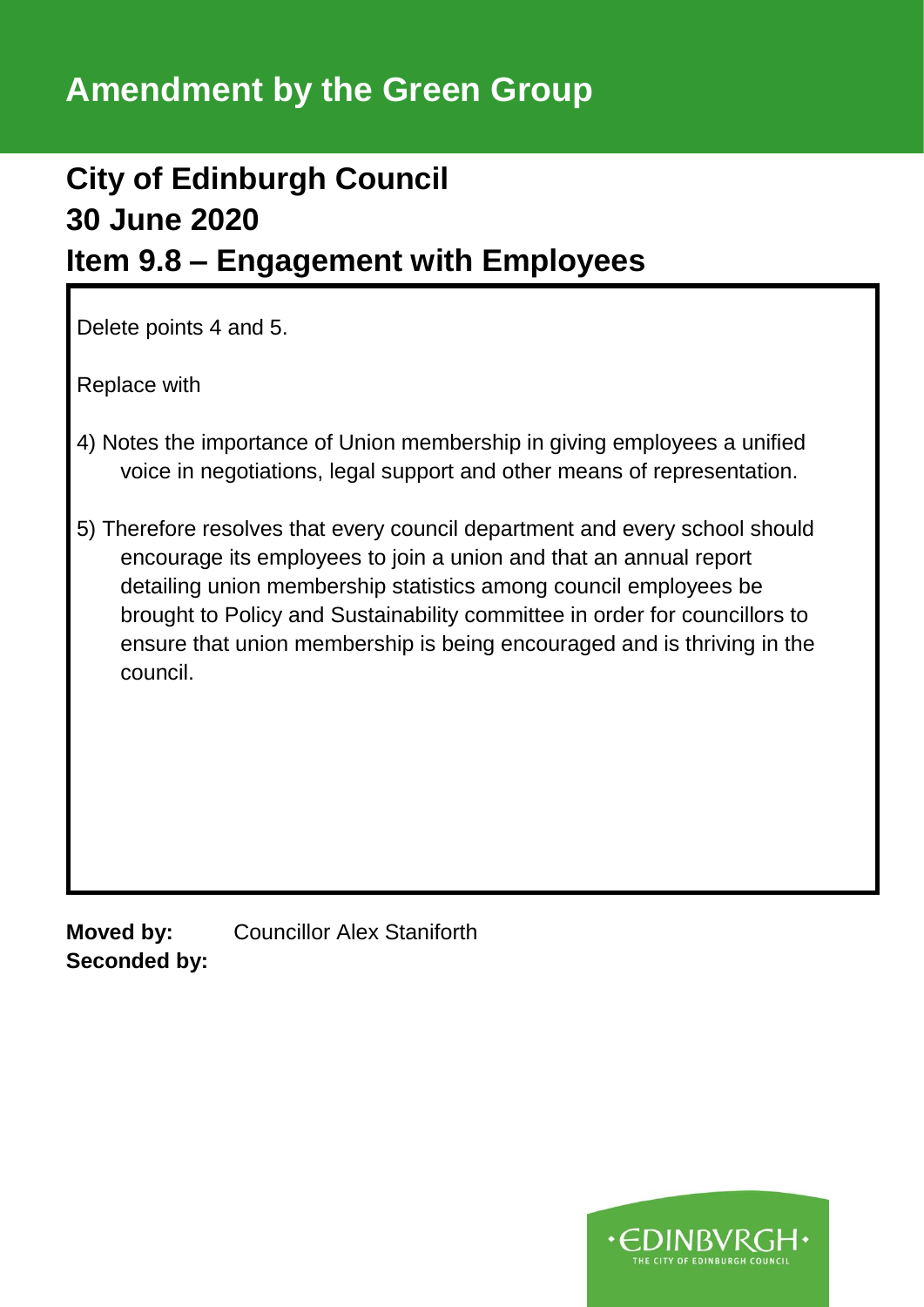### **Amendment by the Green Group**

### **City of Edinburgh Council 30 June 2020 Item 9.8 – Engagement with Employees**

Delete points 4 and 5.

Replace with

- 4) Notes the importance of Union membership in giving employees a unified voice in negotiations, legal support and other means of representation.
- 5) Therefore resolves that every council department and every school should encourage its employees to join a union and that an annual report detailing union membership statistics among council employees be brought to Policy and Sustainability committee in order for councillors to ensure that union membership is being encouraged and is thriving in the council.

**Moved by:** Councillor Alex Staniforth **Seconded by:**